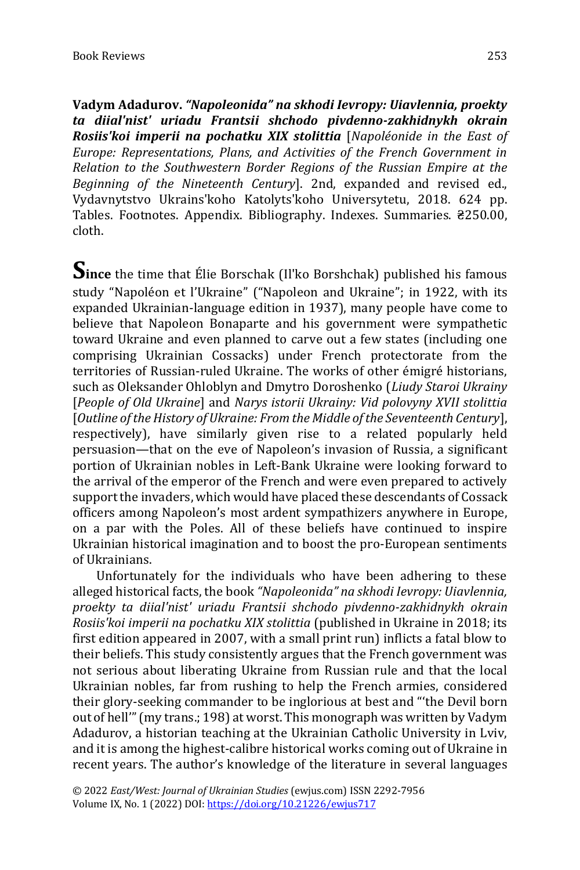**Vadym Adadurov.** *"Napoleonida" na skhodi Ievropy: Uiavlennia, proekty ta diial'nist' uriadu Frantsii shchodo pivdenno-zakhidnykh okrain Rosiis'koi imperii na pochatku XIX stolittia* [*Napoléonide in the East of Europe: Representations, Plans, and Activities of the French Government in Relation to the Southwestern Border Regions of the Russian Empire at the Beginning of the Nineteenth Century*]. 2nd, expanded and revised ed., Vydavnytstvo Ukrains'koho Katolyts'koho Universytetu, 2018. 624 pp. Tables. Footnotes. Appendix. Bibliography. Indexes. Summaries. ₴250.00, cloth.

**Since** the time that Élie Borschak (Il'ko Borshchak) published his famous study "Napoléon et l'Ukraine" ("Napoleon and Ukraine"; in 1922, with its expanded Ukrainian-language edition in 1937), many people have come to believe that Napoleon Bonaparte and his government were sympathetic toward Ukraine and even planned to carve out a few states (including one comprising Ukrainian Cossacks) under French protectorate from the territories of Russian-ruled Ukraine. The works of other émigré historians, such as Oleksander Ohloblyn and Dmytro Doroshenko (*Liudy Staroi Ukrainy* [*People of Old Ukraine*] and *Narys istorii Ukrainy: Vid polovyny XVII stolittia* [*Outline of the History of Ukraine: From the Middle of the Seventeenth Century*], respectively), have similarly given rise to a related popularly held persuasion—that on the eve of Napoleon's invasion of Russia, a significant portion of Ukrainian nobles in Left-Bank Ukraine were looking forward to the arrival of the emperor of the French and were even prepared to actively support the invaders, which would have placed these descendants of Cossack officers among Napoleon's most ardent sympathizers anywhere in Europe, on a par with the Poles. All of these beliefs have continued to inspire Ukrainian historical imagination and to boost the pro-European sentiments of Ukrainians.

Unfortunately for the individuals who have been adhering to these alleged historical facts, the book *"Napoleonida" na skhodi Ievropy: Uiavlennia, proekty ta diial'nist' uriadu Frantsii shchodo pivdenno-zakhidnykh okrain Rosiis'koi imperii na pochatku XIX stolittia* (published in Ukraine in 2018; its first edition appeared in 2007, with a small print run) inflicts a fatal blow to their beliefs. This study consistently argues that the French government was not serious about liberating Ukraine from Russian rule and that the local Ukrainian nobles, far from rushing to help the French armies, considered their glory-seeking commander to be inglorious at best and "'the Devil born out of hell'" (my trans.; 198) at worst. This monograph was written by Vadym Adadurov, a historian teaching at the Ukrainian Catholic University in Lviv, and it is among the highest-calibre historical works coming out of Ukraine in recent years. The author's knowledge of the literature in several languages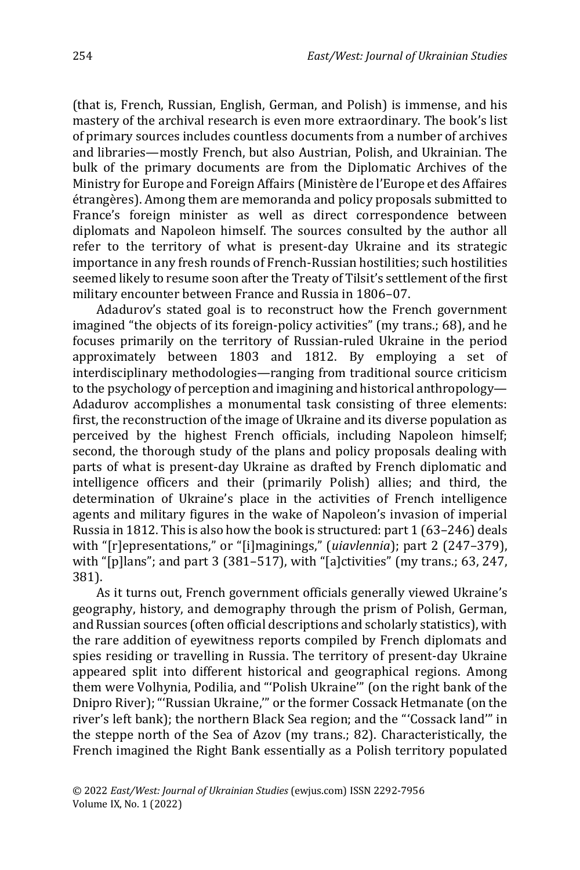(that is, French, Russian, English, German, and Polish) is immense, and his mastery of the archival research is even more extraordinary. The book's list of primary sources includes countless documents from a number of archives and libraries—mostly French, but also Austrian, Polish, and Ukrainian. The bulk of the primary documents are from the Diplomatic Archives of the Ministry for Europe and Foreign Affairs (Ministère de l'Europe et des Affaires étrangères). Among them are memoranda and policy proposals submitted to France's foreign minister as well as direct correspondence between diplomats and Napoleon himself. The sources consulted by the author all refer to the territory of what is present-day Ukraine and its strategic importance in any fresh rounds of French-Russian hostilities; such hostilities seemed likely to resume soon after the Treaty of Tilsit's settlement of the first military encounter between France and Russia in 1806–07.

Adadurov's stated goal is to reconstruct how the French government imagined "the objects of its foreign-policy activities" (my trans.; 68), and he focuses primarily on the territory of Russian-ruled Ukraine in the period approximately between 1803 and 1812. By employing a set of interdisciplinary methodologies—ranging from traditional source criticism to the psychology of perception and imagining and historical anthropology— Adadurov accomplishes a monumental task consisting of three elements: first, the reconstruction of the image of Ukraine and its diverse population as perceived by the highest French officials, including Napoleon himself; second, the thorough study of the plans and policy proposals dealing with parts of what is present-day Ukraine as drafted by French diplomatic and intelligence officers and their (primarily Polish) allies; and third, the determination of Ukraine's place in the activities of French intelligence agents and military figures in the wake of Napoleon's invasion of imperial Russia in 1812. This is also how the book is structured: part 1 (63–246) deals with "[r]epresentations," or "[i]maginings," (*uiavlennia*); part 2 (247–379), with "[p]lans"; and part 3 (381–517), with "[a]ctivities" (my trans.; 63, 247, 381).

As it turns out, French government officials generally viewed Ukraine's geography, history, and demography through the prism of Polish, German, and Russian sources (often official descriptions and scholarly statistics), with the rare addition of eyewitness reports compiled by French diplomats and spies residing or travelling in Russia. The territory of present-day Ukraine appeared split into different historical and geographical regions. Among them were Volhynia, Podilia, and "'Polish Ukraine'" (on the right bank of the Dnipro River); "'Russian Ukraine,'" or the former Cossack Hetmanate (on the river's left bank); the northern Black Sea region; and the "'Cossack land'" in the steppe north of the Sea of Azov (my trans.; 82). Characteristically, the French imagined the Right Bank essentially as a Polish territory populated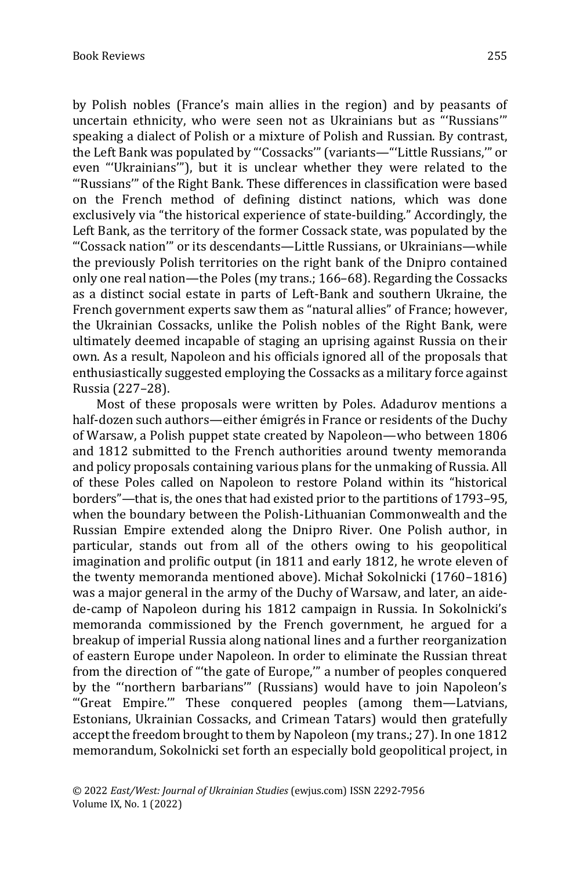by Polish nobles (France's main allies in the region) and by peasants of uncertain ethnicity, who were seen not as Ukrainians but as "'Russians'" speaking a dialect of Polish or a mixture of Polish and Russian. By contrast, the Left Bank was populated by "'Cossacks'" (variants—"'Little Russians,'" or even "'Ukrainians'"), but it is unclear whether they were related to the "'Russians'" of the Right Bank. These differences in classification were based on the French method of defining distinct nations, which was done exclusively via "the historical experience of state-building." Accordingly, the Left Bank, as the territory of the former Cossack state, was populated by the "'Cossack nation'" or its descendants—Little Russians, or Ukrainians—while the previously Polish territories on the right bank of the Dnipro contained only one real nation—the Poles (my trans.; 166–68). Regarding the Cossacks as a distinct social estate in parts of Left-Bank and southern Ukraine, the French government experts saw them as "natural allies" of France; however, the Ukrainian Cossacks, unlike the Polish nobles of the Right Bank, were ultimately deemed incapable of staging an uprising against Russia on their own. As a result, Napoleon and his officials ignored all of the proposals that enthusiastically suggested employing the Cossacks as a military force against Russia (227–28).

Most of these proposals were written by Poles. Adadurov mentions a half-dozen such authors—either émigrés in France or residents of the Duchy of Warsaw, a Polish puppet state created by Napoleon—who between 1806 and 1812 submitted to the French authorities around twenty memoranda and policy proposals containing various plans for the unmaking of Russia. All of these Poles called on Napoleon to restore Poland within its "historical borders"—that is, the ones that had existed prior to the partitions of 1793–95, when the boundary between the Polish-Lithuanian Commonwealth and the Russian Empire extended along the Dnipro River. One Polish author, in particular, stands out from all of the others owing to his geopolitical imagination and prolific output (in 1811 and early 1812, he wrote eleven of the twenty memoranda mentioned above). Michał Sokolnicki (1760–1816) was a major general in the army of the Duchy of Warsaw, and later, an aidede-camp of Napoleon during his 1812 campaign in Russia. In Sokolnicki's memoranda commissioned by the French government, he argued for a breakup of imperial Russia along national lines and a further reorganization of eastern Europe under Napoleon. In order to eliminate the Russian threat from the direction of "'the gate of Europe,'" a number of peoples conquered by the "'northern barbarians'" (Russians) would have to join Napoleon's "'Great Empire.'" These conquered peoples (among them—Latvians, Estonians, Ukrainian Cossacks, and Crimean Tatars) would then gratefully accept the freedom brought to them by Napoleon (my trans.; 27). In one 1812 memorandum, Sokolnicki set forth an especially bold geopolitical project, in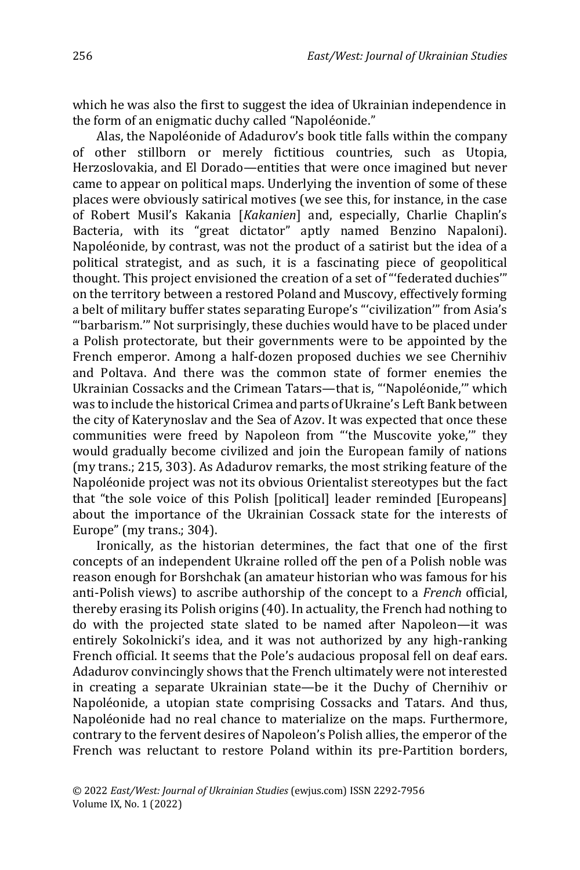which he was also the first to suggest the idea of Ukrainian independence in the form of an enigmatic duchy called "Napoléonide."

Alas, the Napoléonide of Adadurov's book title falls within the company of other stillborn or merely fictitious countries, such as Utopia, Herzoslovakia, and El Dorado—entities that were once imagined but never came to appear on political maps. Underlying the invention of some of these places were obviously satirical motives (we see this, for instance, in the case of Robert Musil's Kakania [*Kakanien*] and, especially, Charlie Chaplin's Bacteria, with its "great dictator" aptly named Benzino Napaloni). Napoléonide, by contrast, was not the product of a satirist but the idea of a political strategist, and as such, it is a fascinating piece of geopolitical thought. This project envisioned the creation of a set of "'federated duchies'" on the territory between a restored Poland and Muscovy, effectively forming a belt of military buffer states separating Europe's "'civilization'" from Asia's "'barbarism.'" Not surprisingly, these duchies would have to be placed under a Polish protectorate, but their governments were to be appointed by the French emperor. Among a half-dozen proposed duchies we see Chernihiv and Poltava. And there was the common state of former enemies the Ukrainian Cossacks and the Crimean Tatars—that is, "'Napoléonide,'" which was to include the historical Crimea and parts of Ukraine's Left Bank between the city of Katerynoslav and the Sea of Azov. It was expected that once these communities were freed by Napoleon from "'the Muscovite yoke,'" they would gradually become civilized and join the European family of nations (my trans.; 215, 303). As Adadurov remarks, the most striking feature of the Napoléonide project was not its obvious Orientalist stereotypes but the fact that "the sole voice of this Polish [political] leader reminded [Europeans] about the importance of the Ukrainian Cossack state for the interests of Europe" (my trans.; 304).

Ironically, as the historian determines, the fact that one of the first concepts of an independent Ukraine rolled off the pen of a Polish noble was reason enough for Borshchak (an amateur historian who was famous for his anti-Polish views) to ascribe authorship of the concept to a *French* official, thereby erasing its Polish origins (40). In actuality, the French had nothing to do with the projected state slated to be named after Napoleon—it was entirely Sokolnicki's idea, and it was not authorized by any high-ranking French official. It seems that the Pole's audacious proposal fell on deaf ears. Adadurov convincingly shows that the French ultimately were not interested in creating a separate Ukrainian state—be it the Duchy of Chernihiv or Napoléonide, a utopian state comprising Cossacks and Tatars. And thus, Napoléonide had no real chance to materialize on the maps. Furthermore, contrary to the fervent desires of Napoleon's Polish allies, the emperor of the French was reluctant to restore Poland within its pre-Partition borders,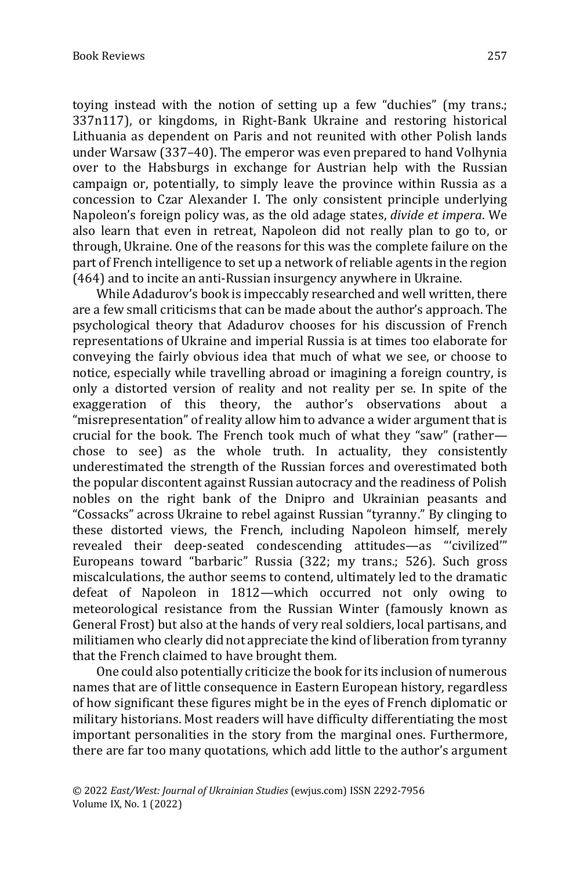toying instead with the notion of setting up a few "duchies" (my trans.; 337n117), or kingdoms, in Right-Bank Ukraine and restoring historical Lithuania as dependent on Paris and not reunited with other Polish lands under Warsaw (337–40). The emperor was even prepared to hand Volhynia over to the Habsburgs in exchange for Austrian help with the Russian campaign or, potentially, to simply leave the province within Russia as a concession to Czar Alexander I. The only consistent principle underlying Napoleon's foreign policy was, as the old adage states, *divide et impera*. We also learn that even in retreat, Napoleon did not really plan to go to, or through, Ukraine. One of the reasons for this was the complete failure on the part of French intelligence to set up a network of reliable agents in the region (464) and to incite an anti-Russian insurgency anywhere in Ukraine.

While Adadurov's book is impeccably researched and well written, there are a few small criticisms that can be made about the author's approach. The psychological theory that Adadurov chooses for his discussion of French representations of Ukraine and imperial Russia is at times too elaborate for conveying the fairly obvious idea that much of what we see, or choose to notice, especially while travelling abroad or imagining a foreign country, is only a distorted version of reality and not reality per se. In spite of the exaggeration of this theory, the author's observations about a "misrepresentation" of reality allow him to advance a wider argument that is crucial for the book. The French took much of what they "saw" (rather chose to see) as the whole truth. In actuality, they consistently underestimated the strength of the Russian forces and overestimated both the popular discontent against Russian autocracy and the readiness of Polish nobles on the right bank of the Dnipro and Ukrainian peasants and "Cossacks" across Ukraine to rebel against Russian "tyranny." By clinging to these distorted views, the French, including Napoleon himself, merely revealed their deep-seated condescending attitudes—as "'civilized'" Europeans toward "barbaric" Russia (322; my trans.; 526). Such gross miscalculations, the author seems to contend, ultimately led to the dramatic defeat of Napoleon in 1812—which occurred not only owing to meteorological resistance from the Russian Winter (famously known as General Frost) but also at the hands of very real soldiers, local partisans, and militiamen who clearly did not appreciate the kind of liberation from tyranny that the French claimed to have brought them.

One could also potentially criticize the book for its inclusion of numerous names that are of little consequence in Eastern European history, regardless of how significant these figures might be in the eyes of French diplomatic or military historians. Most readers will have difficulty differentiating the most important personalities in the story from the marginal ones. Furthermore, there are far too many quotations, which add little to the author's argument